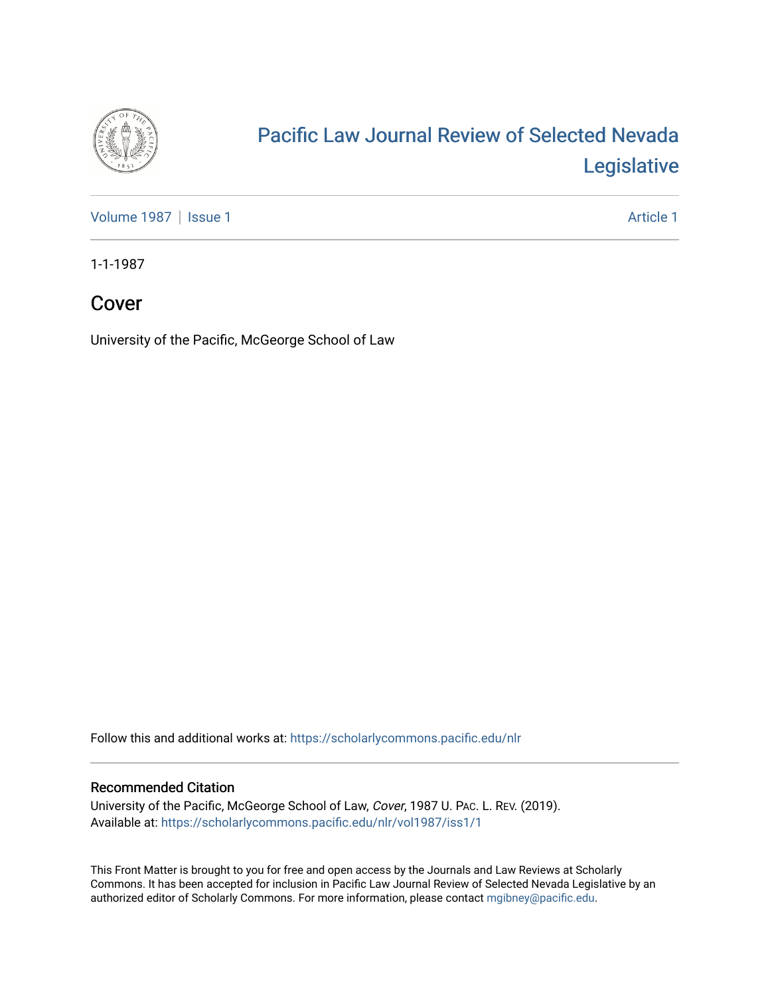

## [Pacific Law Journal Review of Selected Nevada](https://scholarlycommons.pacific.edu/nlr)  [Legislative](https://scholarlycommons.pacific.edu/nlr)

[Volume 1987](https://scholarlycommons.pacific.edu/nlr/vol1987) | [Issue 1](https://scholarlycommons.pacific.edu/nlr/vol1987/iss1) Article 1

1-1-1987

## Cover

University of the Pacific, McGeorge School of Law

Follow this and additional works at: [https://scholarlycommons.pacific.edu/nlr](https://scholarlycommons.pacific.edu/nlr?utm_source=scholarlycommons.pacific.edu%2Fnlr%2Fvol1987%2Fiss1%2F1&utm_medium=PDF&utm_campaign=PDFCoverPages) 

## Recommended Citation

University of the Pacific, McGeorge School of Law, Cover, 1987 U. PAC. L. REV. (2019). Available at: [https://scholarlycommons.pacific.edu/nlr/vol1987/iss1/1](https://scholarlycommons.pacific.edu/nlr/vol1987/iss1/1?utm_source=scholarlycommons.pacific.edu%2Fnlr%2Fvol1987%2Fiss1%2F1&utm_medium=PDF&utm_campaign=PDFCoverPages) 

This Front Matter is brought to you for free and open access by the Journals and Law Reviews at Scholarly Commons. It has been accepted for inclusion in Pacific Law Journal Review of Selected Nevada Legislative by an authorized editor of Scholarly Commons. For more information, please contact [mgibney@pacific.edu](mailto:mgibney@pacific.edu).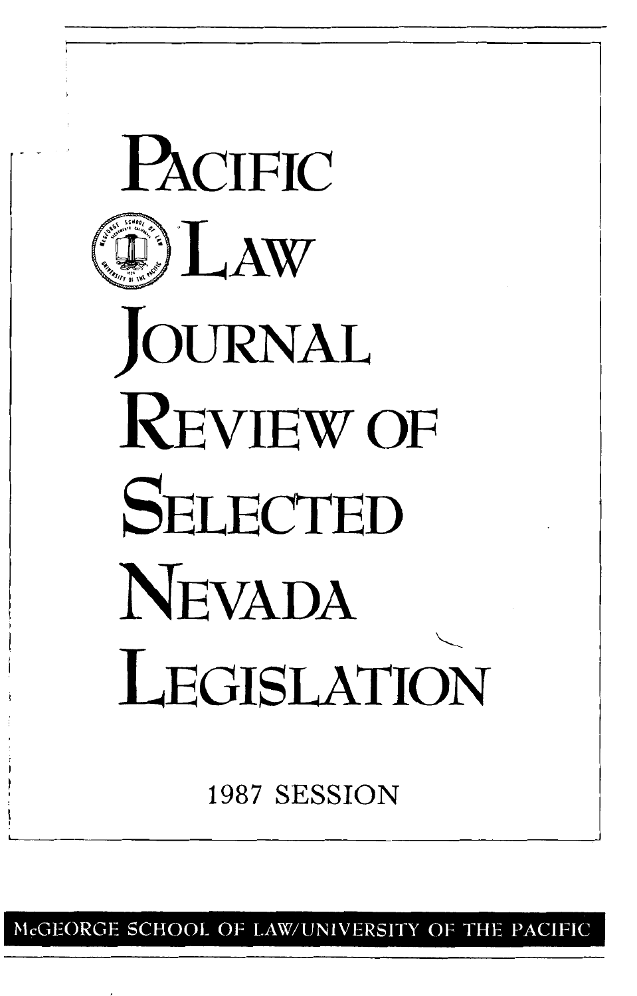

McGEORGE SCHOOL OF LAW/UNIVERSITY OF THE PACIFIC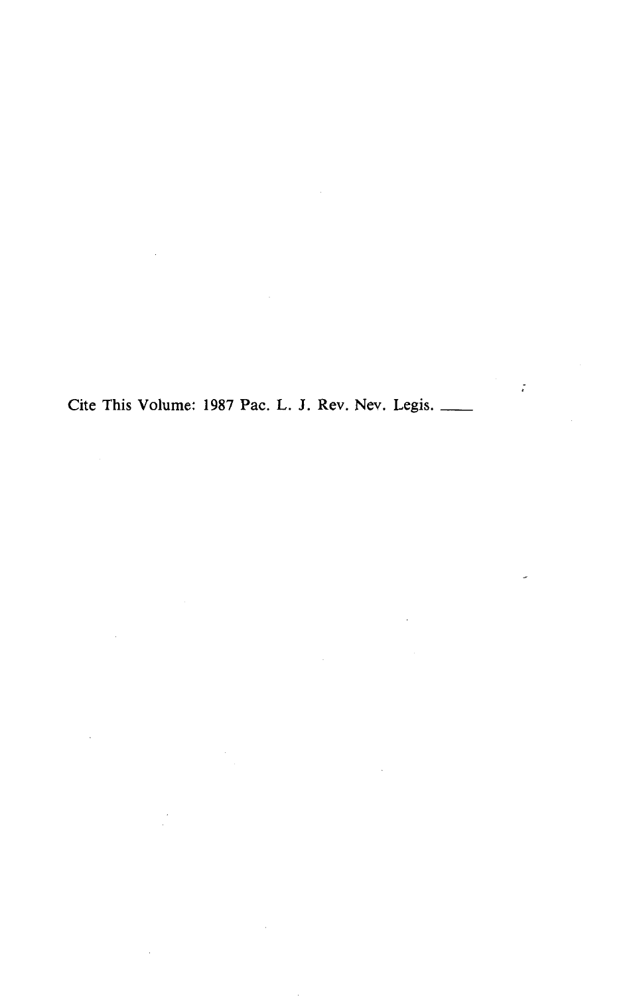Cite This Volume: 1987 Pac. L. J. Rev. Nev. Legis. \_\_\_\_

 $\mathcal{L}$ 

 $\sim$ 

 $\bar{z}$ 

 $\sim 10^{-11}$ 

 $\overline{\phantom{a}}$ 

 $\frac{1}{2}$ 

 $\bar{z}$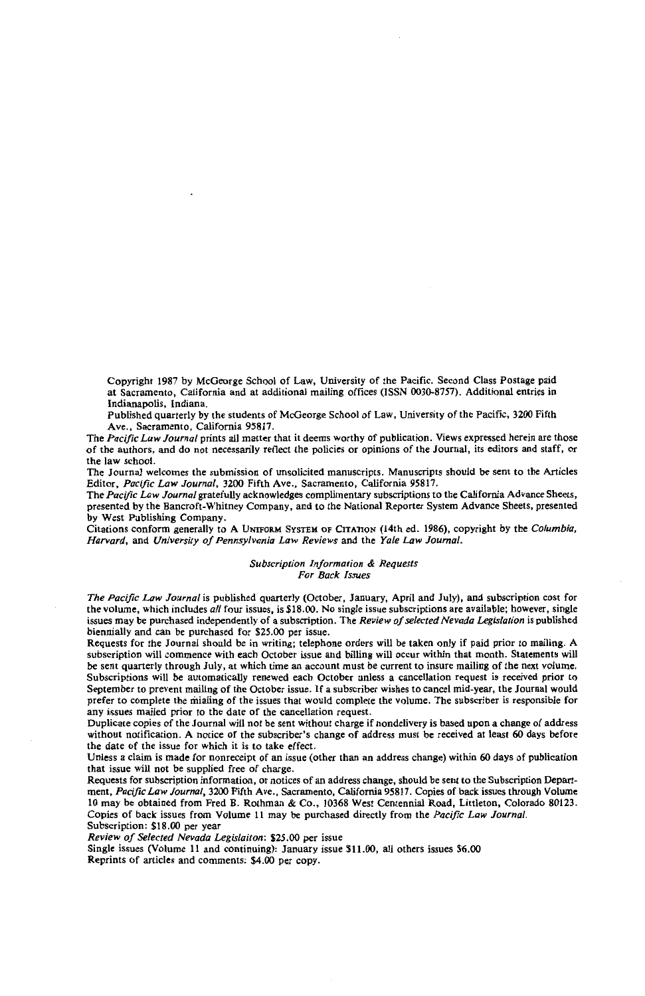Copyright 1987 by McGeorge School of Law, University of the Pacific. Second Class Postage paid at Sacramento, California and at additional mailing offices (ISSN 0030-8757). Additional entries in Indianapolis, Indiana.

Published quarterly by the students of McGeorge School of Law, University of the Pacific, 3200 Fifth Ave., Sacramento, California 95817.

The *Pacific Law Journal* prints all matter that it deems worthy of publication. Views expressed herein are those of the authors, and do not necessarily reflect the policies or opinions of the Journal, its editors and staff, or the law school.

The Journal welcomes the submission of unsolicited manuscripts. Manuscripts should be sent to the Articles Editor, *Pacific Law Journal,* 3200 Fifth Ave., Sacramento, California 95817.

The *Pacific Law Journal* gratefully acknowledges complimentary subscriptions to the California Advance Sheets, presented by the Bancroft-Whitney Company, and to the National Reporter System Advance Sheets, presented by West Publishing Company.

Citations conform generally to A UNIFORM SYSTEM OF CITATION (14th ed. 1986), copyright by the *Columbia, Harvard,* and *University of Pennsylvania Law Reviews* and the *Yale Law Journal.* 

> *Subscription Information* & *Requests For Back Issues*

*The Pacific Law Journal* is published quarterly (October, January, April and July), and subscription cost for the volume, which includes *all* four issues, is \$18.00. No single issue subscriptions are available; however, single issues may be purchased independently of a subscription. The *Review of selected Nevada Legislation* is published biennially and can be purchased for \$25.00 per issue.

Requests for the Journal should be in writing; telephone orders will be taken only if paid prior to mailing. A subscription will commence with each October issue and billing will occur within that month. Statements will be sent quarterly through July, at which time an account must be current to insure mailing of the next volume. Subscriptions will be automatically renewed each October unless a cancellation request is received prior to September to prevent mailing of the October issue. If a subscriber wishes to cancel mid-year, the Journal would prefer to complete the mialing of the issues that would complete the volume. The subscriber is responsible for any issues mailed prior to the date of the cancellation request.

Duplicate copies of the Journal will not be sent without charge if nondelivery is based upon a change of address without notification. A notice of the subscriber's change of address must be received at least 60 days before the date of the issue for which it is to take effect.

Unless a claim is made for nonreceipt of an issue (other than an address change) within 60 days of publication that issue will not be supplied free of charge.

Requests for subscription information, or notices of an address change, should be sent to the Subscription Department, *Pacific Law Journal,* 3200 Fifth Ave., Sacramento, California 95817. Copies of back issues through Volume 10 may be obtained from Fred B. Rothman & Co., 10368 West Centennial Road, Littleton, Colorado 80123. Copies of back issues from Volume II may be purchased directly from the *Pacific Law Journal.*  Subscription: \$18.00 per year

*Review of Selected Nevada Legislaiton:* \$25.00 per issue

Single issues (Volume II and continuing): January issue \$11.00, all others issues \$6.00 Reprints of articles and comments: \$4.00 per copy.